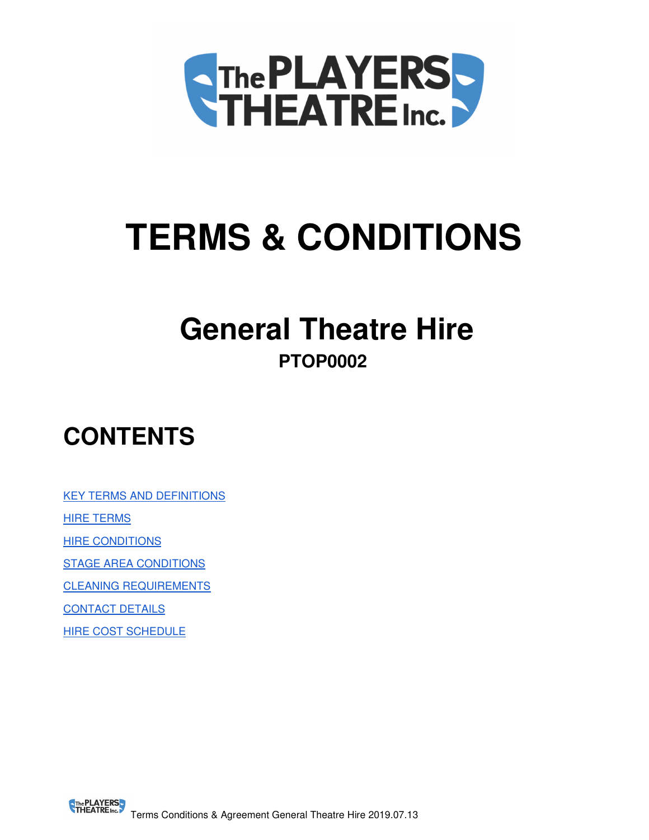

# **TERMS & CONDITIONS**

# **General Theatre Hire PTOP0002**

# **CONTENTS**

KEY TERMS AND DEFINITIONS **HIRE TERMS HIRE CONDITIONS** 

STAGE AREA CONDITIONS

CLEANING REQUIREMENTS

CONTACT DETAILS

HIRE COST SCHEDULE

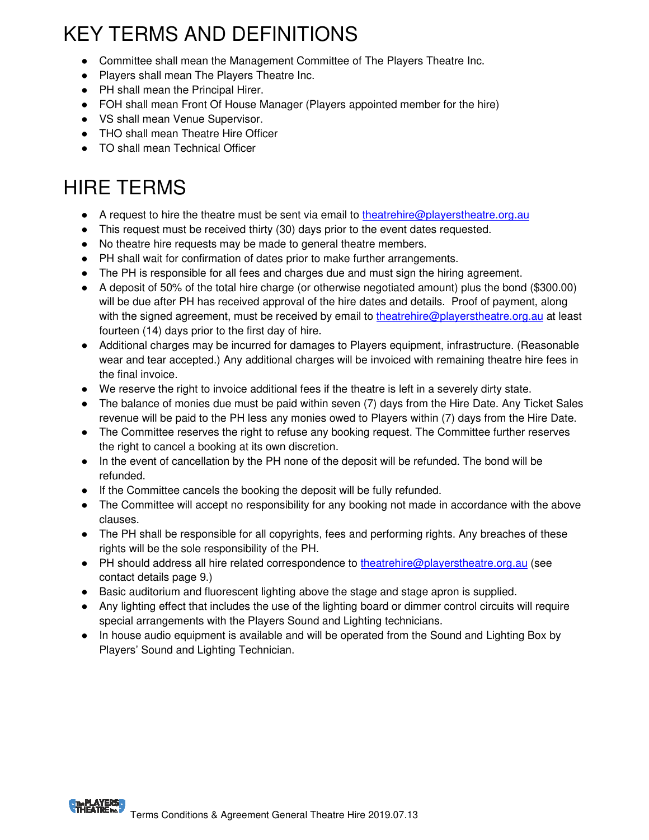# KEY TERMS AND DEFINITIONS

- Committee shall mean the Management Committee of The Players Theatre Inc.
- Players shall mean The Players Theatre Inc.
- PH shall mean the Principal Hirer.
- FOH shall mean Front Of House Manager (Players appointed member for the hire)
- VS shall mean Venue Supervisor.
- THO shall mean Theatre Hire Officer
- TO shall mean Technical Officer

# HIRE TERMS

- A request to hire the theatre must be sent via email to theatrehire@playerstheatre.org.au
- This request must be received thirty (30) days prior to the event dates requested.
- No theatre hire requests may be made to general theatre members.
- PH shall wait for confirmation of dates prior to make further arrangements.
- The PH is responsible for all fees and charges due and must sign the hiring agreement.
- A deposit of 50% of the total hire charge (or otherwise negotiated amount) plus the bond (\$300.00) will be due after PH has received approval of the hire dates and details. Proof of payment, along with the signed agreement, must be received by email to theatrehire@playerstheatre.org.au at least fourteen (14) days prior to the first day of hire.
- Additional charges may be incurred for damages to Players equipment, infrastructure. (Reasonable wear and tear accepted.) Any additional charges will be invoiced with remaining theatre hire fees in the final invoice.
- We reserve the right to invoice additional fees if the theatre is left in a severely dirty state.
- The balance of monies due must be paid within seven (7) days from the Hire Date. Any Ticket Sales revenue will be paid to the PH less any monies owed to Players within (7) days from the Hire Date.
- The Committee reserves the right to refuse any booking request. The Committee further reserves the right to cancel a booking at its own discretion.
- In the event of cancellation by the PH none of the deposit will be refunded. The bond will be refunded.
- If the Committee cancels the booking the deposit will be fully refunded.
- The Committee will accept no responsibility for any booking not made in accordance with the above clauses.
- The PH shall be responsible for all copyrights, fees and performing rights. Any breaches of these rights will be the sole responsibility of the PH.
- PH should address all hire related correspondence to theatrehire@playerstheatre.org.au (see contact details page 9.)
- Basic auditorium and fluorescent lighting above the stage and stage apron is supplied.
- Any lighting effect that includes the use of the lighting board or dimmer control circuits will require special arrangements with the Players Sound and Lighting technicians.
- In house audio equipment is available and will be operated from the Sound and Lighting Box by Players' Sound and Lighting Technician.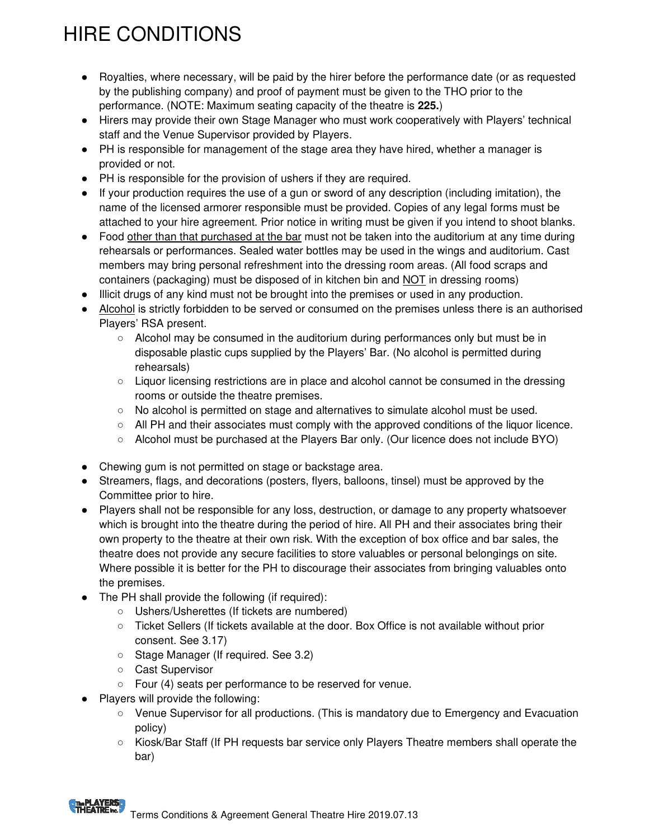# HIRE CONDITIONS

- Royalties, where necessary, will be paid by the hirer before the performance date (or as requested by the publishing company) and proof of payment must be given to the THO prior to the performance. (NOTE: Maximum seating capacity of the theatre is **225.**)
- Hirers may provide their own Stage Manager who must work cooperatively with Players' technical staff and the Venue Supervisor provided by Players.
- PH is responsible for management of the stage area they have hired, whether a manager is provided or not.
- PH is responsible for the provision of ushers if they are required.
- If your production requires the use of a gun or sword of any description (including imitation), the name of the licensed armorer responsible must be provided. Copies of any legal forms must be attached to your hire agreement. Prior notice in writing must be given if you intend to shoot blanks.
- Food other than that purchased at the bar must not be taken into the auditorium at any time during rehearsals or performances. Sealed water bottles may be used in the wings and auditorium. Cast members may bring personal refreshment into the dressing room areas. (All food scraps and containers (packaging) must be disposed of in kitchen bin and NOT in dressing rooms)
- Illicit drugs of any kind must not be brought into the premises or used in any production.
- Alcohol is strictly forbidden to be served or consumed on the premises unless there is an authorised Players' RSA present.
	- Alcohol may be consumed in the auditorium during performances only but must be in disposable plastic cups supplied by the Players' Bar. (No alcohol is permitted during rehearsals)
	- Liquor licensing restrictions are in place and alcohol cannot be consumed in the dressing rooms or outside the theatre premises.
	- No alcohol is permitted on stage and alternatives to simulate alcohol must be used.
	- All PH and their associates must comply with the approved conditions of the liquor licence.
	- Alcohol must be purchased at the Players Bar only. (Our licence does not include BYO)
- Chewing gum is not permitted on stage or backstage area.
- Streamers, flags, and decorations (posters, flyers, balloons, tinsel) must be approved by the Committee prior to hire.
- Players shall not be responsible for any loss, destruction, or damage to any property whatsoever which is brought into the theatre during the period of hire. All PH and their associates bring their own property to the theatre at their own risk. With the exception of box office and bar sales, the theatre does not provide any secure facilities to store valuables or personal belongings on site. Where possible it is better for the PH to discourage their associates from bringing valuables onto the premises.
- The PH shall provide the following (if required):
	- Ushers/Usherettes (If tickets are numbered)
	- Ticket Sellers (If tickets available at the door. Box Office is not available without prior consent. See 3.17)
	- Stage Manager (If required. See 3.2)
	- Cast Supervisor
	- Four (4) seats per performance to be reserved for venue.
- Players will provide the following:
	- Venue Supervisor for all productions. (This is mandatory due to Emergency and Evacuation policy)
	- Kiosk/Bar Staff (If PH requests bar service only Players Theatre members shall operate the bar)

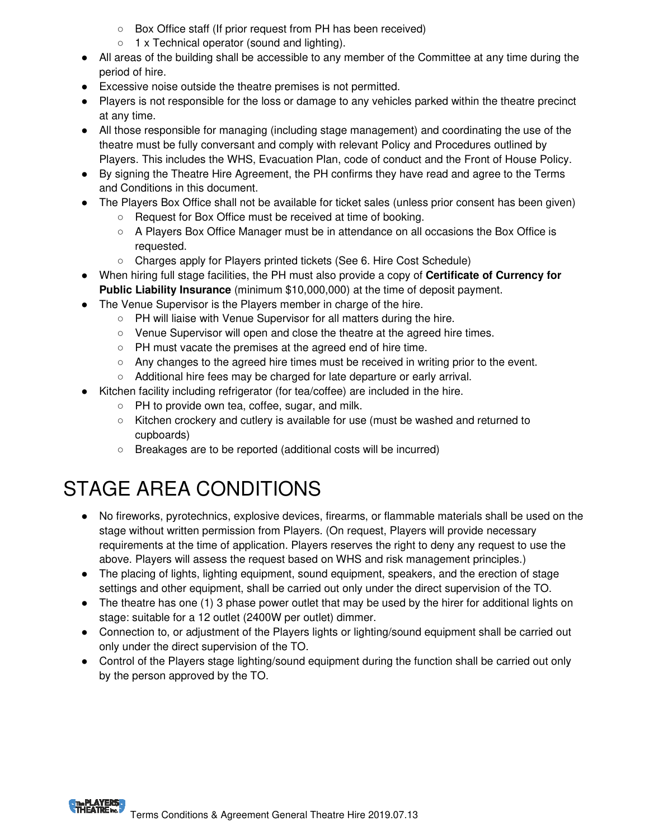- Box Office staff (If prior request from PH has been received)
- 1 x Technical operator (sound and lighting).
- All areas of the building shall be accessible to any member of the Committee at any time during the period of hire.
- Excessive noise outside the theatre premises is not permitted.
- Players is not responsible for the loss or damage to any vehicles parked within the theatre precinct at any time.
- All those responsible for managing (including stage management) and coordinating the use of the theatre must be fully conversant and comply with relevant Policy and Procedures outlined by Players. This includes the WHS, Evacuation Plan, code of conduct and the Front of House Policy.
- By signing the Theatre Hire Agreement, the PH confirms they have read and agree to the Terms and Conditions in this document.
- The Players Box Office shall not be available for ticket sales (unless prior consent has been given)
	- Request for Box Office must be received at time of booking.
	- A Players Box Office Manager must be in attendance on all occasions the Box Office is requested.
	- Charges apply for Players printed tickets (See 6. Hire Cost Schedule)
- When hiring full stage facilities, the PH must also provide a copy of **Certificate of Currency for Public Liability Insurance** (minimum \$10,000,000) at the time of deposit payment.
- The Venue Supervisor is the Players member in charge of the hire.
	- PH will liaise with Venue Supervisor for all matters during the hire.
	- Venue Supervisor will open and close the theatre at the agreed hire times.
	- PH must vacate the premises at the agreed end of hire time.
	- Any changes to the agreed hire times must be received in writing prior to the event.
	- Additional hire fees may be charged for late departure or early arrival.
- Kitchen facility including refrigerator (for tea/coffee) are included in the hire.
	- PH to provide own tea, coffee, sugar, and milk.
	- Kitchen crockery and cutlery is available for use (must be washed and returned to cupboards)
	- Breakages are to be reported (additional costs will be incurred)

# STAGE AREA CONDITIONS

- No fireworks, pyrotechnics, explosive devices, firearms, or flammable materials shall be used on the stage without written permission from Players. (On request, Players will provide necessary requirements at the time of application. Players reserves the right to deny any request to use the above. Players will assess the request based on WHS and risk management principles.)
- The placing of lights, lighting equipment, sound equipment, speakers, and the erection of stage settings and other equipment, shall be carried out only under the direct supervision of the TO.
- The theatre has one (1) 3 phase power outlet that may be used by the hirer for additional lights on stage: suitable for a 12 outlet (2400W per outlet) dimmer.
- Connection to, or adjustment of the Players lights or lighting/sound equipment shall be carried out only under the direct supervision of the TO.
- Control of the Players stage lighting/sound equipment during the function shall be carried out only by the person approved by the TO.